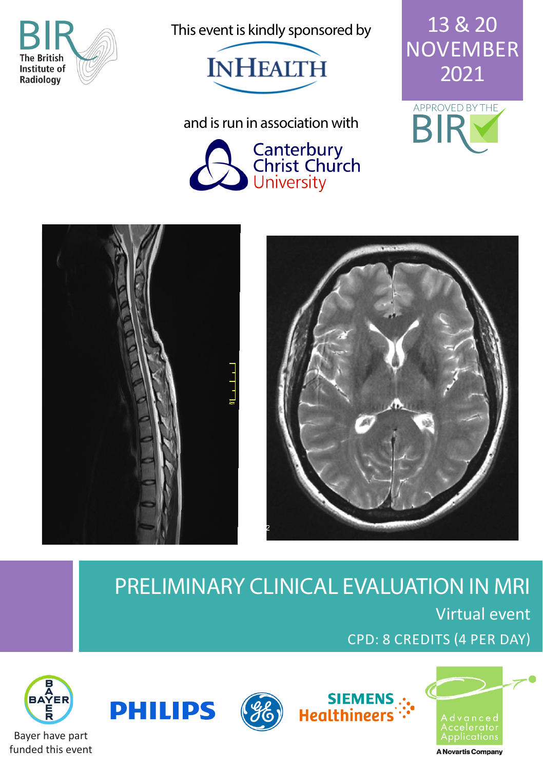

This event is kindly sponsored by



13 & 20 NOVEMBER 2021



and is run in association with







### PRELIMINARY CLINICAL EVALUATION IN MRI Virtual event CPD: 8 CREDITS (4 PER DAY)







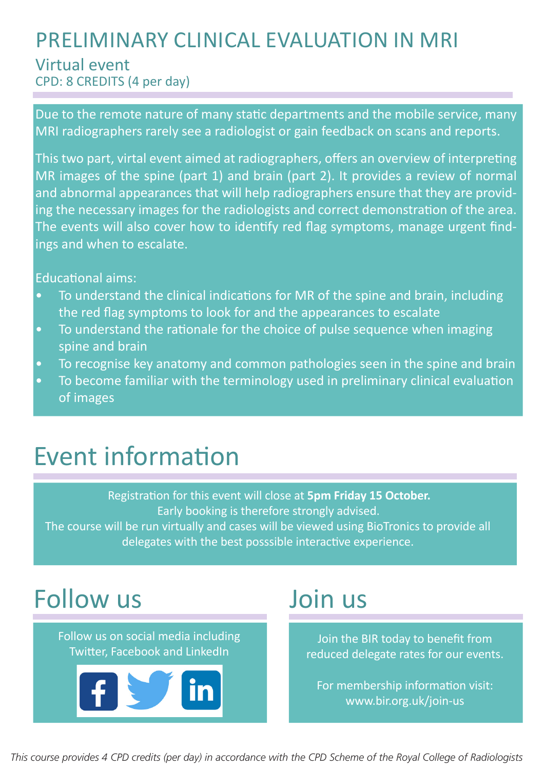### PRELIMINARY CLINICAL EVALUATION IN MRI Virtual event

CPD: 8 CREDITS (4 per day)

Due to the remote nature of many static departments and the mobile service, many MRI radiographers rarely see a radiologist or gain feedback on scans and reports.

This two part, virtal event aimed at radiographers, offers an overview of interpreting MR images of the spine (part 1) and brain (part 2). It provides a review of normal and abnormal appearances that will help radiographers ensure that they are providing the necessary images for the radiologists and correct demonstration of the area. The events will also cover how to identify red flag symptoms, manage urgent findings and when to escalate.

Educational aims:

- To understand the clinical indications for MR of the spine and brain, including the red flag symptoms to look for and the appearances to escalate
- To understand the rationale for the choice of pulse sequence when imaging spine and brain
- To recognise key anatomy and common pathologies seen in the spine and brain
- To become familiar with the terminology used in preliminary clinical evaluation of images

# Event information

Registration for this event will close at **5pm Friday 15 October.** Early booking is therefore strongly advised. The course will be run virtually and cases will be viewed using BioTronics to provide all delegates with the best posssible interactive experience.

# Follow us

Follow us on social media including Twitter, Facebook and LinkedIn



# Join us

Join the BIR today to benefit from reduced delegate rates for our events.

For membership information visit: www.bir.org.uk/join-us

*This course provides 4 CPD credits (per day) in accordance with the CPD Scheme of the Royal College of Radiologists*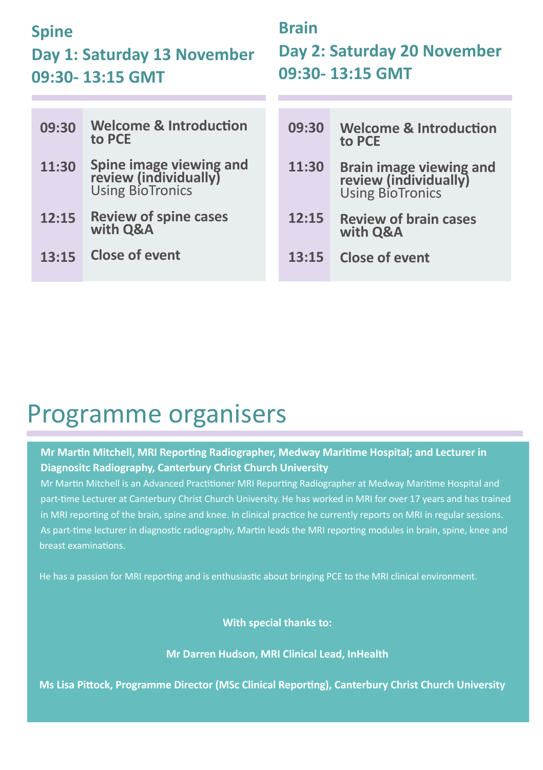#### **Spine**

#### **Day 1: Saturday 13 November 09:30- 13:15 GMT**

### **Brain Day 2: Saturday 20 November 09:30- 13:15 GMT**

| 09:30 | <b>Welcome &amp; Introduction</b><br>to PCE                                  | 09:30 | <b>Welcome &amp; Introduction</b><br>to PCE                                  |
|-------|------------------------------------------------------------------------------|-------|------------------------------------------------------------------------------|
| 11:30 | <b>Spine image viewing and<br/>review (individually)</b><br>Using BioTronics | 11:30 | <b>Brain image viewing and<br/>review (individually)</b><br>Using BioTronics |
| 12:15 | <b>Review of spine cases</b><br>with Q&A                                     | 12:15 | <b>Review of brain cases</b><br>with Q&A                                     |
| 13:15 | <b>Close of event</b>                                                        | 13:15 | Close of event                                                               |

## Programme organisers

#### **Mr Martin Mitchell, MRI Reporting Radiographer, Medway Maritime Hospital; and Lecturer in Diagnositc Radiography, Canterbury Christ Church University**

Mr Martin Mitchell is an Advanced Practitioner MRI Reporting Radiographer at Medway Maritime Hospital and part-time Lecturer at Canterbury Christ Church University. He has worked in MRI for over 17 years and has trained in MRI reporting of the brain, spine and knee. In clinical practice he currently reports on MRI in regular sessions. As part-time lecturer in diagnostic radiography, Martin leads the MRI reporting modules in brain, spine, knee and breast examinations.

He has a passion for MRI reporting and is enthusiastic about bringing PCE to the MRI clinical environment.

**With special thanks to:**

**Mr Darren Hudson, MRI Clinical Lead, InHealth** 

**Ms Lisa Pittock, Programme Director (MSc Clinical Reporting), Canterbury Christ Church University**